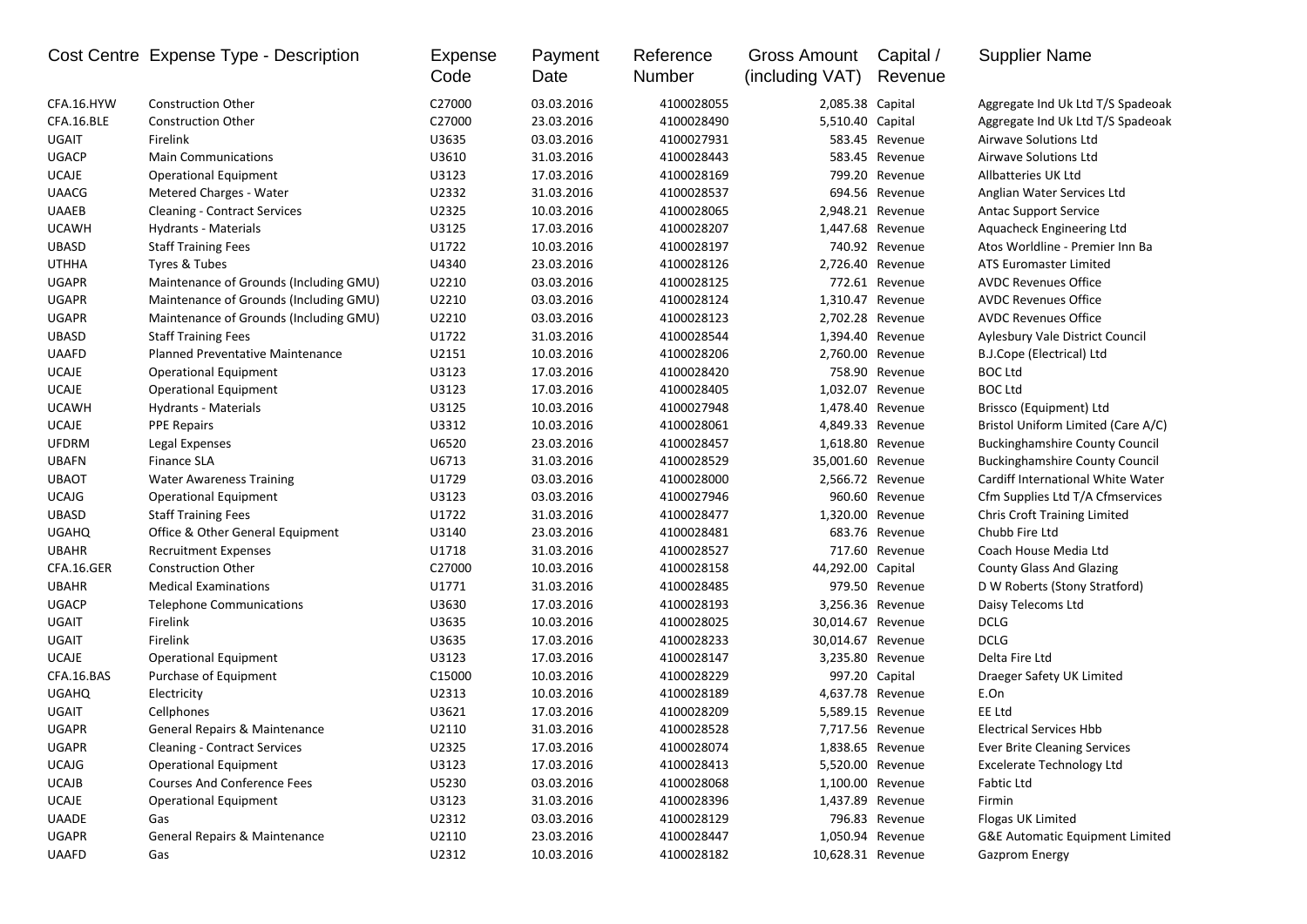|              | Cost Centre Expense Type - Description   | Expense<br>Code | Payment<br>Date | Reference<br>Number | Gross Amount<br>(including VAT) | Capital /<br>Revenue | <b>Supplier Name</b>                  |
|--------------|------------------------------------------|-----------------|-----------------|---------------------|---------------------------------|----------------------|---------------------------------------|
| CFA.16.HYW   | <b>Construction Other</b>                | C27000          | 03.03.2016      | 4100028055          | 2,085.38 Capital                |                      | Aggregate Ind Uk Ltd T/S Spadeoak     |
| CFA.16.BLE   | <b>Construction Other</b>                | C27000          | 23.03.2016      | 4100028490          | 5,510.40 Capital                |                      | Aggregate Ind Uk Ltd T/S Spadeoak     |
| UGAIT        | Firelink                                 | U3635           | 03.03.2016      | 4100027931          |                                 | 583.45 Revenue       | Airwave Solutions Ltd                 |
| <b>UGACP</b> | <b>Main Communications</b>               | U3610           | 31.03.2016      | 4100028443          |                                 | 583.45 Revenue       | Airwave Solutions Ltd                 |
| <b>UCAJE</b> | <b>Operational Equipment</b>             | U3123           | 17.03.2016      | 4100028169          |                                 | 799.20 Revenue       | Allbatteries UK Ltd                   |
| <b>UAACG</b> | Metered Charges - Water                  | U2332           | 31.03.2016      | 4100028537          |                                 | 694.56 Revenue       | Anglian Water Services Ltd            |
| <b>UAAEB</b> | <b>Cleaning - Contract Services</b>      | U2325           | 10.03.2016      | 4100028065          |                                 | 2,948.21 Revenue     | <b>Antac Support Service</b>          |
| <b>UCAWH</b> | Hydrants - Materials                     | U3125           | 17.03.2016      | 4100028207          | 1,447.68 Revenue                |                      | Aquacheck Engineering Ltd             |
| <b>UBASD</b> | <b>Staff Training Fees</b>               | U1722           | 10.03.2016      | 4100028197          |                                 | 740.92 Revenue       | Atos Worldline - Premier Inn Ba       |
| <b>UTHHA</b> | Tyres & Tubes                            | U4340           | 23.03.2016      | 4100028126          |                                 | 2,726.40 Revenue     | ATS Euromaster Limited                |
| <b>UGAPR</b> | Maintenance of Grounds (Including GMU)   | U2210           | 03.03.2016      | 4100028125          |                                 | 772.61 Revenue       | <b>AVDC Revenues Office</b>           |
| <b>UGAPR</b> | Maintenance of Grounds (Including GMU)   | U2210           | 03.03.2016      | 4100028124          |                                 | 1,310.47 Revenue     | <b>AVDC Revenues Office</b>           |
| <b>UGAPR</b> | Maintenance of Grounds (Including GMU)   | U2210           | 03.03.2016      | 4100028123          |                                 | 2,702.28 Revenue     | <b>AVDC Revenues Office</b>           |
| <b>UBASD</b> | <b>Staff Training Fees</b>               | U1722           | 31.03.2016      | 4100028544          |                                 | 1,394.40 Revenue     | Aylesbury Vale District Council       |
| <b>UAAFD</b> | Planned Preventative Maintenance         | U2151           | 10.03.2016      | 4100028206          |                                 | 2,760.00 Revenue     | B.J.Cope (Electrical) Ltd             |
| <b>UCAJE</b> | <b>Operational Equipment</b>             | U3123           | 17.03.2016      | 4100028420          |                                 | 758.90 Revenue       | <b>BOC Ltd</b>                        |
| <b>UCAJE</b> | <b>Operational Equipment</b>             | U3123           | 17.03.2016      | 4100028405          |                                 | 1,032.07 Revenue     | <b>BOC Ltd</b>                        |
| <b>UCAWH</b> | Hydrants - Materials                     | U3125           | 10.03.2016      | 4100027948          |                                 | 1,478.40 Revenue     | Brissco (Equipment) Ltd               |
| <b>UCAJE</b> | <b>PPE Repairs</b>                       | U3312           | 10.03.2016      | 4100028061          |                                 | 4,849.33 Revenue     | Bristol Uniform Limited (Care A/C)    |
| <b>UFDRM</b> | Legal Expenses                           | U6520           | 23.03.2016      | 4100028457          |                                 | 1,618.80 Revenue     | <b>Buckinghamshire County Council</b> |
| <b>UBAFN</b> | <b>Finance SLA</b>                       | U6713           | 31.03.2016      | 4100028529          | 35,001.60 Revenue               |                      | <b>Buckinghamshire County Council</b> |
| <b>UBAOT</b> | <b>Water Awareness Training</b>          | U1729           | 03.03.2016      | 4100028000          |                                 | 2,566.72 Revenue     | Cardiff International White Water     |
| <b>UCAJG</b> | <b>Operational Equipment</b>             | U3123           | 03.03.2016      | 4100027946          |                                 | 960.60 Revenue       | Cfm Supplies Ltd T/A Cfmservices      |
| <b>UBASD</b> | <b>Staff Training Fees</b>               | U1722           | 31.03.2016      | 4100028477          |                                 | 1,320.00 Revenue     | <b>Chris Croft Training Limited</b>   |
| <b>UGAHQ</b> | Office & Other General Equipment         | U3140           | 23.03.2016      | 4100028481          |                                 | 683.76 Revenue       | Chubb Fire Ltd                        |
| <b>UBAHR</b> | <b>Recruitment Expenses</b>              | U1718           | 31.03.2016      | 4100028527          |                                 | 717.60 Revenue       | Coach House Media Ltd                 |
| CFA.16.GER   | <b>Construction Other</b>                | C27000          | 10.03.2016      | 4100028158          | 44,292.00 Capital               |                      | <b>County Glass And Glazing</b>       |
| <b>UBAHR</b> | <b>Medical Examinations</b>              | U1771           | 31.03.2016      | 4100028485          |                                 | 979.50 Revenue       | D W Roberts (Stony Stratford)         |
| <b>UGACP</b> | <b>Telephone Communications</b>          | U3630           | 17.03.2016      | 4100028193          |                                 | 3,256.36 Revenue     | Daisy Telecoms Ltd                    |
| UGAIT        | Firelink                                 | U3635           | 10.03.2016      | 4100028025          | 30,014.67 Revenue               |                      | <b>DCLG</b>                           |
| UGAIT        | Firelink                                 | U3635           | 17.03.2016      | 4100028233          | 30,014.67 Revenue               |                      | <b>DCLG</b>                           |
| <b>UCAJE</b> | <b>Operational Equipment</b>             | U3123           | 17.03.2016      | 4100028147          |                                 | 3,235.80 Revenue     | Delta Fire Ltd                        |
| CFA.16.BAS   | Purchase of Equipment                    | C15000          | 10.03.2016      | 4100028229          |                                 | 997.20 Capital       | Draeger Safety UK Limited             |
| <b>UGAHQ</b> | Electricity                              | U2313           | 10.03.2016      | 4100028189          |                                 | 4,637.78 Revenue     | E.On                                  |
| UGAIT        | Cellphones                               | U3621           | 17.03.2016      | 4100028209          |                                 | 5,589.15 Revenue     | EE Ltd                                |
| <b>UGAPR</b> | <b>General Repairs &amp; Maintenance</b> | U2110           | 31.03.2016      | 4100028528          |                                 | 7,717.56 Revenue     | <b>Electrical Services Hbb</b>        |
| <b>UGAPR</b> | <b>Cleaning - Contract Services</b>      | U2325           | 17.03.2016      | 4100028074          |                                 | 1,838.65 Revenue     | <b>Ever Brite Cleaning Services</b>   |
| <b>UCAJG</b> | <b>Operational Equipment</b>             | U3123           | 17.03.2016      | 4100028413          |                                 | 5,520.00 Revenue     | <b>Excelerate Technology Ltd</b>      |
| <b>UCAJB</b> | <b>Courses And Conference Fees</b>       | U5230           | 03.03.2016      | 4100028068          |                                 | 1,100.00 Revenue     | Fabtic Ltd                            |
| <b>UCAJE</b> | <b>Operational Equipment</b>             | U3123           | 31.03.2016      | 4100028396          |                                 | 1,437.89 Revenue     | Firmin                                |
| <b>UAADE</b> | Gas                                      | U2312           | 03.03.2016      | 4100028129          |                                 | 796.83 Revenue       | Flogas UK Limited                     |
| <b>UGAPR</b> | General Repairs & Maintenance            | U2110           | 23.03.2016      | 4100028447          |                                 | 1,050.94 Revenue     | G&E Automatic Equipment Limited       |
| <b>UAAFD</b> | Gas                                      | U2312           | 10.03.2016      | 4100028182          | 10,628.31 Revenue               |                      | Gazprom Energy                        |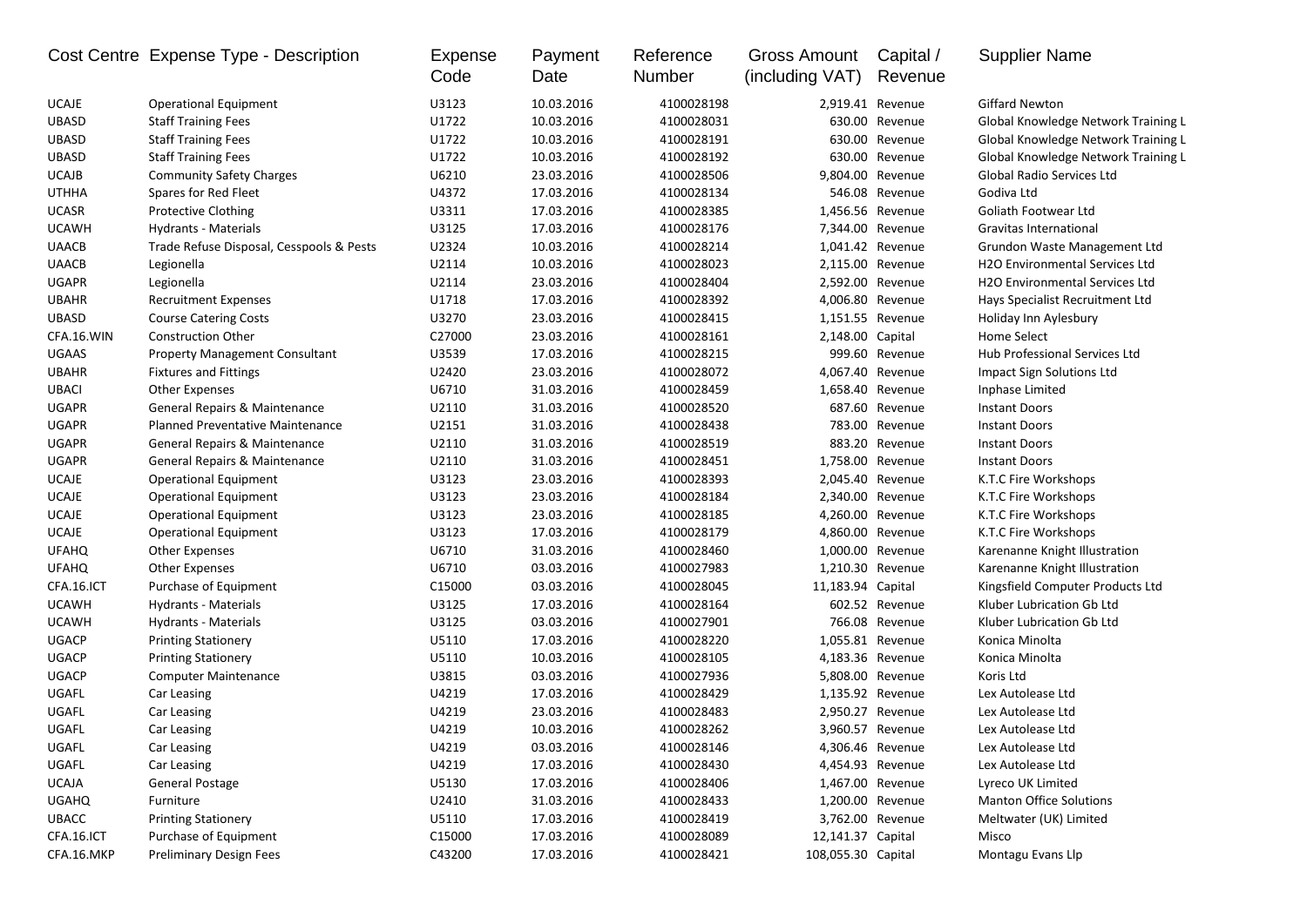|              | Cost Centre Expense Type - Description   | Expense<br>Code | Payment<br>Date | Reference<br>Number | Gross Amount<br>(including VAT) | Capital /<br>Revenue | <b>Supplier Name</b>                  |
|--------------|------------------------------------------|-----------------|-----------------|---------------------|---------------------------------|----------------------|---------------------------------------|
| <b>UCAJE</b> | Operational Equipment                    | U3123           | 10.03.2016      | 4100028198          |                                 | 2,919.41 Revenue     | <b>Giffard Newton</b>                 |
| <b>UBASD</b> | <b>Staff Training Fees</b>               | U1722           | 10.03.2016      | 4100028031          |                                 | 630.00 Revenue       | Global Knowledge Network Training L   |
| <b>UBASD</b> | <b>Staff Training Fees</b>               | U1722           | 10.03.2016      | 4100028191          |                                 | 630.00 Revenue       | Global Knowledge Network Training L   |
| <b>UBASD</b> | <b>Staff Training Fees</b>               | U1722           | 10.03.2016      | 4100028192          |                                 | 630.00 Revenue       | Global Knowledge Network Training L   |
| <b>UCAJB</b> | <b>Community Safety Charges</b>          | U6210           | 23.03.2016      | 4100028506          |                                 | 9,804.00 Revenue     | Global Radio Services Ltd             |
| <b>UTHHA</b> | Spares for Red Fleet                     | U4372           | 17.03.2016      | 4100028134          |                                 | 546.08 Revenue       | Godiva Ltd                            |
| <b>UCASR</b> | Protective Clothing                      | U3311           | 17.03.2016      | 4100028385          |                                 | 1,456.56 Revenue     | Goliath Footwear Ltd                  |
| <b>UCAWH</b> | Hydrants - Materials                     | U3125           | 17.03.2016      | 4100028176          |                                 | 7,344.00 Revenue     | Gravitas International                |
| <b>UAACB</b> | Trade Refuse Disposal, Cesspools & Pests | U2324           | 10.03.2016      | 4100028214          |                                 | 1,041.42 Revenue     | Grundon Waste Management Ltd          |
| <b>UAACB</b> | Legionella                               | U2114           | 10.03.2016      | 4100028023          |                                 | 2,115.00 Revenue     | H2O Environmental Services Ltd        |
| <b>UGAPR</b> | Legionella                               | U2114           | 23.03.2016      | 4100028404          | 2,592.00                        | Revenue              | <b>H2O Environmental Services Ltd</b> |
| <b>UBAHR</b> | <b>Recruitment Expenses</b>              | U1718           | 17.03.2016      | 4100028392          | 4,006.80                        | Revenue              | Hays Specialist Recruitment Ltd       |
| <b>UBASD</b> | <b>Course Catering Costs</b>             | U3270           | 23.03.2016      | 4100028415          |                                 | 1,151.55 Revenue     | Holiday Inn Aylesbury                 |
| CFA.16.WIN   | <b>Construction Other</b>                | C27000          | 23.03.2016      | 4100028161          | 2,148.00 Capital                |                      | Home Select                           |
| <b>UGAAS</b> | <b>Property Management Consultant</b>    | U3539           | 17.03.2016      | 4100028215          |                                 | 999.60 Revenue       | Hub Professional Services Ltd         |
| <b>UBAHR</b> | <b>Fixtures and Fittings</b>             | U2420           | 23.03.2016      | 4100028072          |                                 | 4,067.40 Revenue     | Impact Sign Solutions Ltd             |
| <b>UBACI</b> | <b>Other Expenses</b>                    | U6710           | 31.03.2016      | 4100028459          |                                 | 1,658.40 Revenue     | Inphase Limited                       |
| <b>UGAPR</b> | General Repairs & Maintenance            | U2110           | 31.03.2016      | 4100028520          |                                 | 687.60 Revenue       | <b>Instant Doors</b>                  |
| <b>UGAPR</b> | Planned Preventative Maintenance         | U2151           | 31.03.2016      | 4100028438          |                                 | 783.00 Revenue       | <b>Instant Doors</b>                  |
| <b>UGAPR</b> | General Repairs & Maintenance            | U2110           | 31.03.2016      | 4100028519          |                                 | 883.20 Revenue       | <b>Instant Doors</b>                  |
| <b>UGAPR</b> | General Repairs & Maintenance            | U2110           | 31.03.2016      | 4100028451          |                                 | 1,758.00 Revenue     | <b>Instant Doors</b>                  |
| <b>UCAJE</b> | <b>Operational Equipment</b>             | U3123           | 23.03.2016      | 4100028393          |                                 | 2,045.40 Revenue     | K.T.C Fire Workshops                  |
| <b>UCAJE</b> | <b>Operational Equipment</b>             | U3123           | 23.03.2016      | 4100028184          |                                 | 2,340.00 Revenue     | K.T.C Fire Workshops                  |
| <b>UCAJE</b> | <b>Operational Equipment</b>             | U3123           | 23.03.2016      | 4100028185          |                                 | 4,260.00 Revenue     | K.T.C Fire Workshops                  |
| <b>UCAJE</b> | <b>Operational Equipment</b>             | U3123           | 17.03.2016      | 4100028179          |                                 | 4,860.00 Revenue     | K.T.C Fire Workshops                  |
| <b>UFAHQ</b> | <b>Other Expenses</b>                    | U6710           | 31.03.2016      | 4100028460          |                                 | 1,000.00 Revenue     | Karenanne Knight Illustration         |
| <b>UFAHQ</b> | <b>Other Expenses</b>                    | U6710           | 03.03.2016      | 4100027983          |                                 | 1,210.30 Revenue     | Karenanne Knight Illustration         |
| CFA.16.ICT   | Purchase of Equipment                    | C15000          | 03.03.2016      | 4100028045          | 11,183.94 Capital               |                      | Kingsfield Computer Products Ltd      |
| <b>UCAWH</b> | Hydrants - Materials                     | U3125           | 17.03.2016      | 4100028164          |                                 | 602.52 Revenue       | Kluber Lubrication Gb Ltd             |
| <b>UCAWH</b> | Hydrants - Materials                     | U3125           | 03.03.2016      | 4100027901          |                                 | 766.08 Revenue       | Kluber Lubrication Gb Ltd             |
| <b>UGACP</b> | <b>Printing Stationery</b>               | U5110           | 17.03.2016      | 4100028220          |                                 | 1,055.81 Revenue     | Konica Minolta                        |
| <b>UGACP</b> | <b>Printing Stationery</b>               | U5110           | 10.03.2016      | 4100028105          |                                 | 4,183.36 Revenue     | Konica Minolta                        |
| <b>UGACP</b> | <b>Computer Maintenance</b>              | U3815           | 03.03.2016      | 4100027936          |                                 | 5,808.00 Revenue     | Koris Ltd                             |
| UGAFL        | Car Leasing                              | U4219           | 17.03.2016      | 4100028429          |                                 | 1,135.92 Revenue     | Lex Autolease Ltd                     |
| UGAFL        | Car Leasing                              | U4219           | 23.03.2016      | 4100028483          | 2,950.27                        | Revenue              | Lex Autolease Ltd                     |
| UGAFL        | Car Leasing                              | U4219           | 10.03.2016      | 4100028262          |                                 | 3,960.57 Revenue     | Lex Autolease Ltd                     |
| UGAFL        | Car Leasing                              | U4219           | 03.03.2016      | 4100028146          |                                 | 4,306.46 Revenue     | Lex Autolease Ltd                     |
| UGAFL        | Car Leasing                              | U4219           | 17.03.2016      | 4100028430          |                                 | 4,454.93 Revenue     | Lex Autolease Ltd                     |
| UCAJA        | General Postage                          | U5130           | 17.03.2016      | 4100028406          |                                 | 1,467.00 Revenue     | Lyreco UK Limited                     |
| <b>UGAHQ</b> | Furniture                                | U2410           | 31.03.2016      | 4100028433          |                                 | 1,200.00 Revenue     | <b>Manton Office Solutions</b>        |
| <b>UBACC</b> | <b>Printing Stationery</b>               | U5110           | 17.03.2016      | 4100028419          |                                 | 3,762.00 Revenue     | Meltwater (UK) Limited                |
| CFA.16.ICT   | Purchase of Equipment                    | C15000          | 17.03.2016      | 4100028089          | 12,141.37 Capital               |                      | Misco                                 |
| CFA.16.MKP   | <b>Preliminary Design Fees</b>           | C43200          | 17.03.2016      | 4100028421          | 108,055.30 Capital              |                      | Montagu Evans Llp                     |
|              |                                          |                 |                 |                     |                                 |                      |                                       |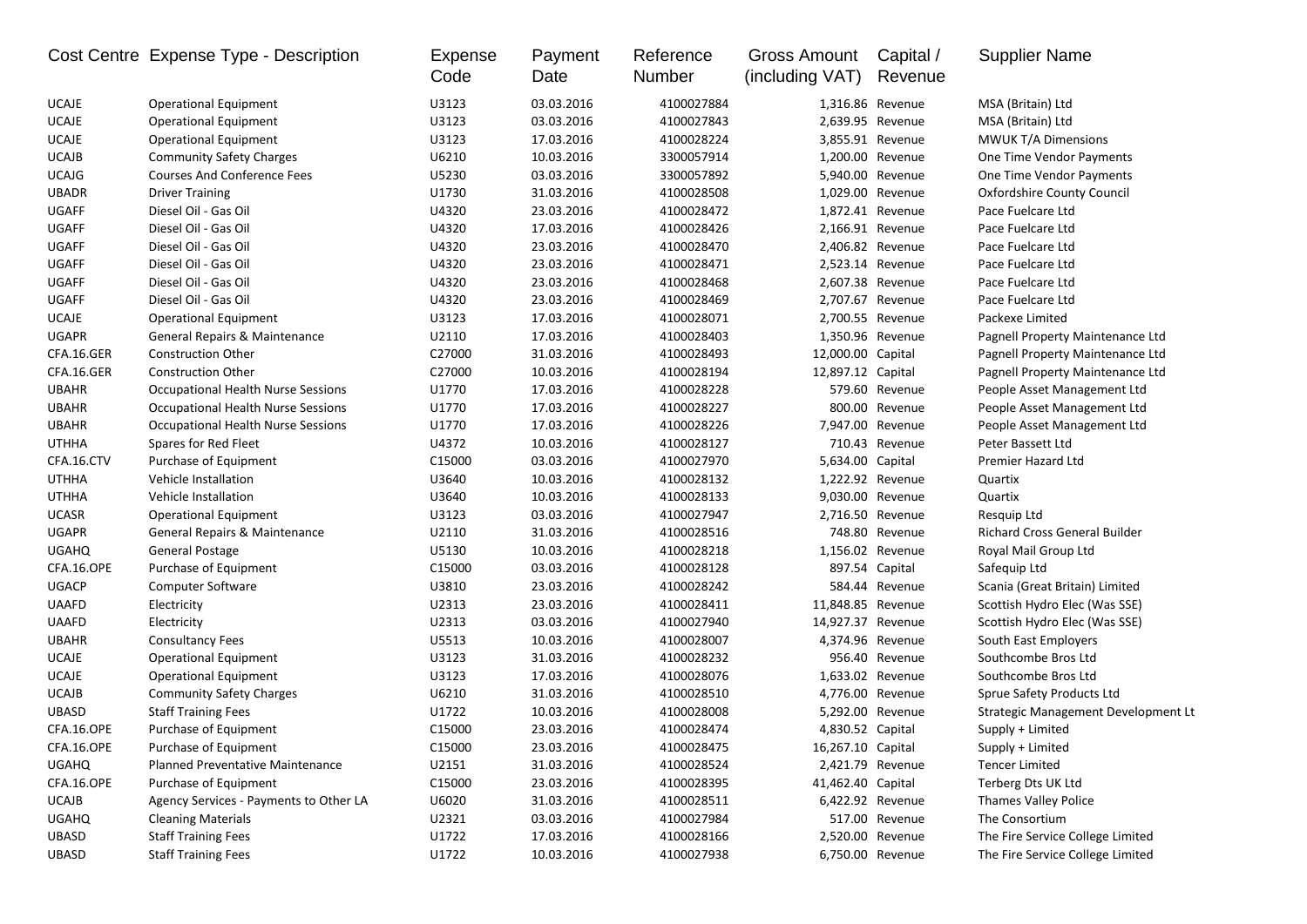|              | Cost Centre Expense Type - Description    | <b>Expense</b><br>Code | Payment<br>Date | Reference<br>Number | <b>Gross Amount</b><br>(including VAT) | Capital /<br>Revenue | <b>Supplier Name</b>                 |
|--------------|-------------------------------------------|------------------------|-----------------|---------------------|----------------------------------------|----------------------|--------------------------------------|
| <b>UCAJE</b> | <b>Operational Equipment</b>              | U3123                  | 03.03.2016      | 4100027884          |                                        | 1,316.86 Revenue     | MSA (Britain) Ltd                    |
| <b>UCAJE</b> | <b>Operational Equipment</b>              | U3123                  | 03.03.2016      | 4100027843          |                                        | 2,639.95 Revenue     | MSA (Britain) Ltd                    |
| <b>UCAJE</b> | <b>Operational Equipment</b>              | U3123                  | 17.03.2016      | 4100028224          |                                        | 3,855.91 Revenue     | <b>MWUK T/A Dimensions</b>           |
| <b>UCAJB</b> | <b>Community Safety Charges</b>           | U6210                  | 10.03.2016      | 3300057914          |                                        | 1,200.00 Revenue     | One Time Vendor Payments             |
| <b>UCAJG</b> | <b>Courses And Conference Fees</b>        | U5230                  | 03.03.2016      | 3300057892          |                                        | 5,940.00 Revenue     | One Time Vendor Payments             |
| <b>UBADR</b> | <b>Driver Training</b>                    | U1730                  | 31.03.2016      | 4100028508          |                                        | 1,029.00 Revenue     | Oxfordshire County Council           |
| <b>UGAFF</b> | Diesel Oil - Gas Oil                      | U4320                  | 23.03.2016      | 4100028472          |                                        | 1,872.41 Revenue     | Pace Fuelcare Ltd                    |
| <b>UGAFF</b> | Diesel Oil - Gas Oil                      | U4320                  | 17.03.2016      | 4100028426          |                                        | 2,166.91 Revenue     | Pace Fuelcare Ltd                    |
| UGAFF        | Diesel Oil - Gas Oil                      | U4320                  | 23.03.2016      | 4100028470          |                                        | 2,406.82 Revenue     | Pace Fuelcare Ltd                    |
| UGAFF        | Diesel Oil - Gas Oil                      | U4320                  | 23.03.2016      | 4100028471          |                                        | 2,523.14 Revenue     | Pace Fuelcare Ltd                    |
| <b>UGAFF</b> | Diesel Oil - Gas Oil                      | U4320                  | 23.03.2016      | 4100028468          |                                        | 2,607.38 Revenue     | Pace Fuelcare Ltd                    |
| <b>UGAFF</b> | Diesel Oil - Gas Oil                      | U4320                  | 23.03.2016      | 4100028469          |                                        | 2,707.67 Revenue     | Pace Fuelcare Ltd                    |
| <b>UCAJE</b> | <b>Operational Equipment</b>              | U3123                  | 17.03.2016      | 4100028071          |                                        | 2,700.55 Revenue     | Packexe Limited                      |
| <b>UGAPR</b> | <b>General Repairs &amp; Maintenance</b>  | U2110                  | 17.03.2016      | 4100028403          |                                        | 1,350.96 Revenue     | Pagnell Property Maintenance Ltd     |
| CFA.16.GER   | <b>Construction Other</b>                 | C27000                 | 31.03.2016      | 4100028493          | 12,000.00 Capital                      |                      | Pagnell Property Maintenance Ltd     |
| CFA.16.GER   | <b>Construction Other</b>                 | C27000                 | 10.03.2016      | 4100028194          | 12,897.12 Capital                      |                      | Pagnell Property Maintenance Ltd     |
| <b>UBAHR</b> | <b>Occupational Health Nurse Sessions</b> | U1770                  | 17.03.2016      | 4100028228          |                                        | 579.60 Revenue       | People Asset Management Ltd          |
| <b>UBAHR</b> | Occupational Health Nurse Sessions        | U1770                  | 17.03.2016      | 4100028227          |                                        | 800.00 Revenue       | People Asset Management Ltd          |
| <b>UBAHR</b> | Occupational Health Nurse Sessions        | U1770                  | 17.03.2016      | 4100028226          |                                        | 7.947.00 Revenue     | People Asset Management Ltd          |
| <b>UTHHA</b> | Spares for Red Fleet                      | U4372                  | 10.03.2016      | 4100028127          |                                        | 710.43 Revenue       | Peter Bassett Ltd                    |
| CFA.16.CTV   | Purchase of Equipment                     | C15000                 | 03.03.2016      | 4100027970          | 5,634.00 Capital                       |                      | Premier Hazard Ltd                   |
| UTHHA        | Vehicle Installation                      | U3640                  | 10.03.2016      | 4100028132          |                                        | 1,222.92 Revenue     | Quartix                              |
| UTHHA        | Vehicle Installation                      | U3640                  | 10.03.2016      | 4100028133          |                                        | 9,030.00 Revenue     | Quartix                              |
| <b>UCASR</b> | <b>Operational Equipment</b>              | U3123                  | 03.03.2016      | 4100027947          |                                        | 2,716.50 Revenue     | Resquip Ltd                          |
| <b>UGAPR</b> | General Repairs & Maintenance             | U2110                  | 31.03.2016      | 4100028516          |                                        | 748.80 Revenue       | <b>Richard Cross General Builder</b> |
| <b>UGAHQ</b> | General Postage                           | U5130                  | 10.03.2016      | 4100028218          |                                        | 1,156.02 Revenue     | Royal Mail Group Ltd                 |
| CFA.16.OPE   | Purchase of Equipment                     | C15000                 | 03.03.2016      | 4100028128          |                                        | 897.54 Capital       | Safequip Ltd                         |
| <b>UGACP</b> | <b>Computer Software</b>                  | U3810                  | 23.03.2016      | 4100028242          |                                        | 584.44 Revenue       | Scania (Great Britain) Limited       |
| <b>UAAFD</b> | Electricity                               | U2313                  | 23.03.2016      | 4100028411          | 11,848.85 Revenue                      |                      | Scottish Hydro Elec (Was SSE)        |
| <b>UAAFD</b> | Electricity                               | U2313                  | 03.03.2016      | 4100027940          | 14,927.37 Revenue                      |                      | Scottish Hydro Elec (Was SSE)        |
| <b>UBAHR</b> | <b>Consultancy Fees</b>                   | U5513                  | 10.03.2016      | 4100028007          |                                        | 4,374.96 Revenue     | South East Employers                 |
| <b>UCAJE</b> | <b>Operational Equipment</b>              | U3123                  | 31.03.2016      | 4100028232          |                                        | 956.40 Revenue       | Southcombe Bros Ltd                  |
| <b>UCAJE</b> | <b>Operational Equipment</b>              | U3123                  | 17.03.2016      | 4100028076          |                                        | 1,633.02 Revenue     | Southcombe Bros Ltd                  |
| <b>UCAJB</b> | <b>Community Safety Charges</b>           | U6210                  | 31.03.2016      | 4100028510          |                                        | 4,776.00 Revenue     | Sprue Safety Products Ltd            |
| <b>UBASD</b> | <b>Staff Training Fees</b>                | U1722                  | 10.03.2016      | 4100028008          |                                        | 5,292.00 Revenue     | Strategic Management Development Lt  |
| CFA.16.OPE   | Purchase of Equipment                     | C15000                 | 23.03.2016      | 4100028474          | 4,830.52 Capital                       |                      | Supply + Limited                     |
| CFA.16.OPE   | Purchase of Equipment                     | C15000                 | 23.03.2016      | 4100028475          | 16,267.10 Capital                      |                      | Supply + Limited                     |
| <b>UGAHQ</b> | Planned Preventative Maintenance          | U2151                  | 31.03.2016      | 4100028524          |                                        | 2,421.79 Revenue     | <b>Tencer Limited</b>                |
| CFA.16.OPE   | Purchase of Equipment                     | C15000                 | 23.03.2016      | 4100028395          | 41,462.40 Capital                      |                      | Terberg Dts UK Ltd                   |
| <b>UCAJB</b> | Agency Services - Payments to Other LA    | U6020                  | 31.03.2016      | 4100028511          |                                        | 6,422.92 Revenue     | <b>Thames Valley Police</b>          |
| <b>UGAHQ</b> | <b>Cleaning Materials</b>                 | U2321                  | 03.03.2016      | 4100027984          |                                        | 517.00 Revenue       | The Consortium                       |
| UBASD        | <b>Staff Training Fees</b>                | U1722                  | 17.03.2016      | 4100028166          |                                        | 2,520.00 Revenue     | The Fire Service College Limited     |
| UBASD        | <b>Staff Training Fees</b>                | U1722                  | 10.03.2016      | 4100027938          |                                        | 6,750.00 Revenue     | The Fire Service College Limited     |